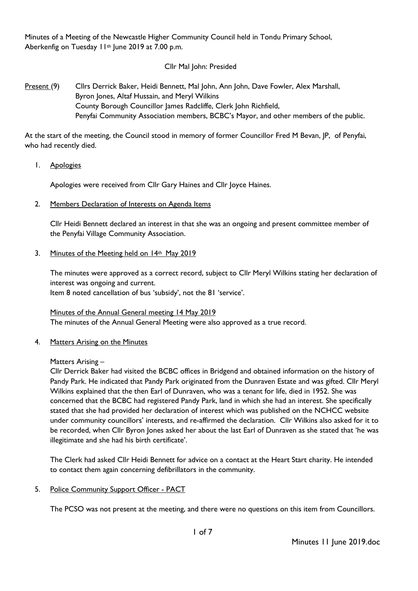Minutes of a Meeting of the Newcastle Higher Community Council held in Tondu Primary School, Aberkenfig on Tuesday 11<sup>th</sup> June 2019 at 7.00 p.m.

# Cllr Mal John: Presided

# Present (9) Cllrs Derrick Baker, Heidi Bennett, Mal John, Ann John, Dave Fowler, Alex Marshall, Byron Jones, Altaf Hussain, and Meryl Wilkins County Borough Councillor James Radcliffe, Clerk John Richfield, Penyfai Community Association members, BCBC's Mayor, and other members of the public.

At the start of the meeting, the Council stood in memory of former Councillor Fred M Bevan, JP, of Penyfai, who had recently died.

1. Apologies

Apologies were received from Cllr Gary Haines and Cllr Joyce Haines.

2. Members Declaration of Interests on Agenda Items

Cllr Heidi Bennett declared an interest in that she was an ongoing and present committee member of the Penyfai Village Community Association.

#### 3. Minutes of the Meeting held on 14th May 2019

The minutes were approved as a correct record, subject to Cllr Meryl Wilkins stating her declaration of interest was ongoing and current.

Item 8 noted cancellation of bus 'subsidy', not the 81 'service'.

Minutes of the Annual General meeting 14 May 2019 The minutes of the Annual General Meeting were also approved as a true record.

# 4. Matters Arising on the Minutes

#### Matters Arising –

Cllr Derrick Baker had visited the BCBC offices in Bridgend and obtained information on the history of Pandy Park. He indicated that Pandy Park originated from the Dunraven Estate and was gifted. Cllr Meryl Wilkins explained that the then Earl of Dunraven, who was a tenant for life, died in 1952. She was concerned that the BCBC had registered Pandy Park, land in which she had an interest. She specifically stated that she had provided her declaration of interest which was published on the NCHCC website under community councillors' interests, and re-affirmed the declaration. Cllr Wilkins also asked for it to be recorded, when Cllr Byron Jones asked her about the last Earl of Dunraven as she stated that 'he was illegitimate and she had his birth certificate'.

The Clerk had asked Cllr Heidi Bennett for advice on a contact at the Heart Start charity. He intended to contact them again concerning defibrillators in the community.

5. Police Community Support Officer - PACT

The PCSO was not present at the meeting, and there were no questions on this item from Councillors.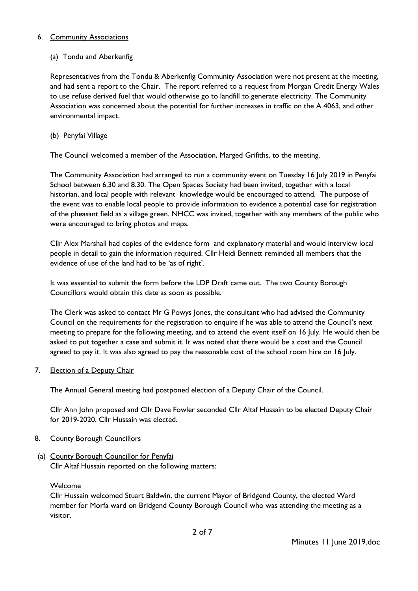# 6. Community Associations

# (a) Tondu and Aberkenfig

Representatives from the Tondu & Aberkenfig Community Association were not present at the meeting, and had sent a report to the Chair. The report referred to a request from Morgan Credit Energy Wales to use refuse derived fuel that would otherwise go to landfill to generate electricity. The Community Association was concerned about the potential for further increases in traffic on the A 4063, and other environmental impact.

# (b) Penyfai Village

The Council welcomed a member of the Association, Marged Grifiths, to the meeting.

The Community Association had arranged to run a community event on Tuesday 16 July 2019 in Penyfai School between 6.30 and 8.30. The Open Spaces Society had been invited, together with a local historian, and local people with relevant knowledge would be encouraged to attend. The purpose of the event was to enable local people to provide information to evidence a potential case for registration of the pheasant field as a village green. NHCC was invited, together with any members of the public who were encouraged to bring photos and maps.

Cllr Alex Marshall had copies of the evidence form and explanatory material and would interview local people in detail to gain the information required. Cllr Heidi Bennett reminded all members that the evidence of use of the land had to be 'as of right'.

It was essential to submit the form before the LDP Draft came out. The two County Borough Councillors would obtain this date as soon as possible.

The Clerk was asked to contact Mr G Powys Jones, the consultant who had advised the Community Council on the requirements for the registration to enquire if he was able to attend the Council's next meeting to prepare for the following meeting, and to attend the event itself on 16 July. He would then be asked to put together a case and submit it. It was noted that there would be a cost and the Council agreed to pay it. It was also agreed to pay the reasonable cost of the school room hire on 16 July.

7. Election of a Deputy Chair

The Annual General meeting had postponed election of a Deputy Chair of the Council.

Cllr Ann John proposed and Cllr Dave Fowler seconded Cllr Altaf Hussain to be elected Deputy Chair for 2019-2020. Cllr Hussain was elected.

# 8. County Borough Councillors

(a) County Borough Councillor for Penyfai Cllr Altaf Hussain reported on the following matters:

Welcome

Cllr Hussain welcomed Stuart Baldwin, the current Mayor of Bridgend County, the elected Ward member for Morfa ward on Bridgend County Borough Council who was attending the meeting as a visitor.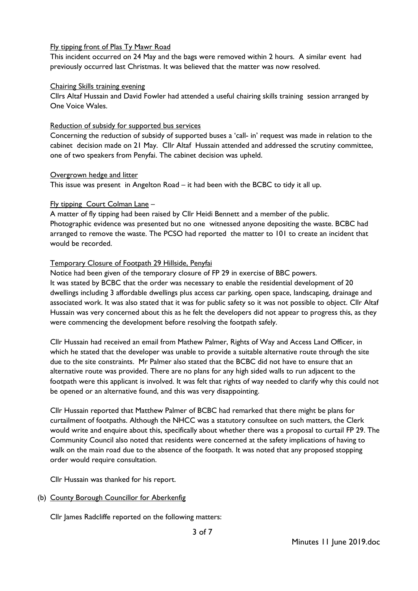# Fly tipping front of Plas Ty Mawr Road

This incident occurred on 24 May and the bags were removed within 2 hours. A similar event had previously occurred last Christmas. It was believed that the matter was now resolved.

#### Chairing Skills training evening

Cllrs Altaf Hussain and David Fowler had attended a useful chairing skills training session arranged by One Voice Wales.

#### Reduction of subsidy for supported bus services

Concerning the reduction of subsidy of supported buses a 'call- in' request was made in relation to the cabinet decision made on 21 May. Cllr Altaf Hussain attended and addressed the scrutiny committee, one of two speakers from Penyfai. The cabinet decision was upheld.

#### Overgrown hedge and litter

This issue was present in Angelton Road – it had been with the BCBC to tidy it all up.

# Fly tipping Court Colman Lane –

A matter of fly tipping had been raised by Cllr Heidi Bennett and a member of the public. Photographic evidence was presented but no one witnessed anyone depositing the waste. BCBC had arranged to remove the waste. The PCSO had reported the matter to 101 to create an incident that would be recorded.

# Temporary Closure of Footpath 29 Hillside, Penyfai

Notice had been given of the temporary closure of FP 29 in exercise of BBC powers. It was stated by BCBC that the order was necessary to enable the residential development of 20 dwellings including 3 affordable dwellings plus access car parking, open space, landscaping, drainage and associated work. It was also stated that it was for public safety so it was not possible to object. Cllr Altaf Hussain was very concerned about this as he felt the developers did not appear to progress this, as they were commencing the development before resolving the footpath safely.

Cllr Hussain had received an email from Mathew Palmer, Rights of Way and Access Land Officer, in which he stated that the developer was unable to provide a suitable alternative route through the site due to the site constraints. Mr Palmer also stated that the BCBC did not have to ensure that an alternative route was provided. There are no plans for any high sided walls to run adjacent to the footpath were this applicant is involved. It was felt that rights of way needed to clarify why this could not be opened or an alternative found, and this was very disappointing.

Cllr Hussain reported that Matthew Palmer of BCBC had remarked that there might be plans for curtailment of footpaths. Although the NHCC was a statutory consultee on such matters, the Clerk would write and enquire about this, specifically about whether there was a proposal to curtail FP 29. The Community Council also noted that residents were concerned at the safety implications of having to walk on the main road due to the absence of the footpath. It was noted that any proposed stopping order would require consultation.

Cllr Hussain was thanked for his report.

# (b) County Borough Councillor for Aberkenfig

Cllr James Radcliffe reported on the following matters: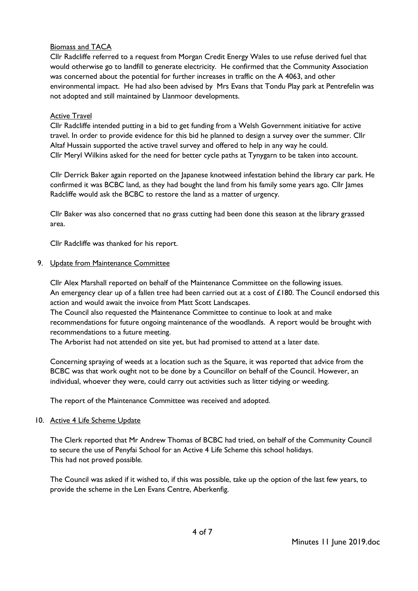# Biomass and TACA

Cllr Radcliffe referred to a request from Morgan Credit Energy Wales to use refuse derived fuel that would otherwise go to landfill to generate electricity. He confirmed that the Community Association was concerned about the potential for further increases in traffic on the A 4063, and other environmental impact. He had also been advised by Mrs Evans that Tondu Play park at Pentrefelin was not adopted and still maintained by Llanmoor developments.

#### Active Travel

Cllr Radcliffe intended putting in a bid to get funding from a Welsh Government initiative for active travel. In order to provide evidence for this bid he planned to design a survey over the summer. Cllr Altaf Hussain supported the active travel survey and offered to help in any way he could. Cllr Meryl Wilkins asked for the need for better cycle paths at Tynygarn to be taken into account.

Cllr Derrick Baker again reported on the Japanese knotweed infestation behind the library car park. He confirmed it was BCBC land, as they had bought the land from his family some years ago. Cllr James Radcliffe would ask the BCBC to restore the land as a matter of urgency.

Cllr Baker was also concerned that no grass cutting had been done this season at the library grassed area.

Cllr Radcliffe was thanked for his report.

#### 9. Update from Maintenance Committee

Cllr Alex Marshall reported on behalf of the Maintenance Committee on the following issues. An emergency clear up of a fallen tree had been carried out at a cost of £180. The Council endorsed this action and would await the invoice from Matt Scott Landscapes.

The Council also requested the Maintenance Committee to continue to look at and make recommendations for future ongoing maintenance of the woodlands. A report would be brought with recommendations to a future meeting.

The Arborist had not attended on site yet, but had promised to attend at a later date.

Concerning spraying of weeds at a location such as the Square, it was reported that advice from the BCBC was that work ought not to be done by a Councillor on behalf of the Council. However, an individual, whoever they were, could carry out activities such as litter tidying or weeding.

The report of the Maintenance Committee was received and adopted.

#### 10. Active 4 Life Scheme Update

The Clerk reported that Mr Andrew Thomas of BCBC had tried, on behalf of the Community Council to secure the use of Penyfai School for an Active 4 Life Scheme this school holidays. This had not proved possible.

The Council was asked if it wished to, if this was possible, take up the option of the last few years, to provide the scheme in the Len Evans Centre, Aberkenfig.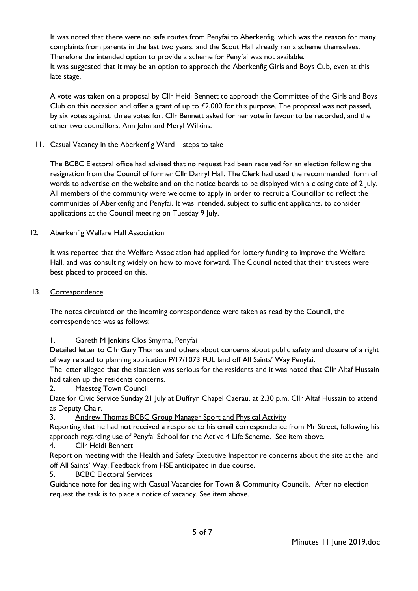It was noted that there were no safe routes from Penyfai to Aberkenfig, which was the reason for many complaints from parents in the last two years, and the Scout Hall already ran a scheme themselves. Therefore the intended option to provide a scheme for Penyfai was not available. It was suggested that it may be an option to approach the Aberkenfig Girls and Boys Cub, even at this late stage.

A vote was taken on a proposal by Cllr Heidi Bennett to approach the Committee of the Girls and Boys Club on this occasion and offer a grant of up to  $£2,000$  for this purpose. The proposal was not passed, by six votes against, three votes for. Cllr Bennett asked for her vote in favour to be recorded, and the other two councillors, Ann John and Meryl Wilkins.

# 11. Casual Vacancy in the Aberkenfig Ward – steps to take

The BCBC Electoral office had advised that no request had been received for an election following the resignation from the Council of former Cllr Darryl Hall. The Clerk had used the recommended form of words to advertise on the website and on the notice boards to be displayed with a closing date of 2 July. All members of the community were welcome to apply in order to recruit a Councillor to reflect the communities of Aberkenfig and Penyfai. It was intended, subject to sufficient applicants, to consider applications at the Council meeting on Tuesday 9 July.

# 12. Aberkenfig Welfare Hall Association

It was reported that the Welfare Association had applied for lottery funding to improve the Welfare Hall, and was consulting widely on how to move forward. The Council noted that their trustees were best placed to proceed on this.

#### 13. Correspondence

The notes circulated on the incoming correspondence were taken as read by the Council, the correspondence was as follows:

# 1. Gareth M Jenkins Clos Smyrna, Penyfai

Detailed letter to Cllr Gary Thomas and others about concerns about public safety and closure of a right of way related to planning application P/17/1073 FUL land off All Saints' Way Penyfai.

The letter alleged that the situation was serious for the residents and it was noted that Cllr Altaf Hussain had taken up the residents concerns.

2. Maesteg Town Council

Date for Civic Service Sunday 21 July at Duffryn Chapel Caerau, at 2.30 p.m. Cllr Altaf Hussain to attend as Deputy Chair.

# 3. Andrew Thomas BCBC Group Manager Sport and Physical Activity

Reporting that he had not received a response to his email correspondence from Mr Street, following his approach regarding use of Penyfai School for the Active 4 Life Scheme. See item above.

4. Cllr Heidi Bennett

Report on meeting with the Health and Safety Executive Inspector re concerns about the site at the land off All Saints' Way. Feedback from HSE anticipated in due course.

# 5. BCBC Electoral Services

Guidance note for dealing with Casual Vacancies for Town & Community Councils. After no election request the task is to place a notice of vacancy. See item above.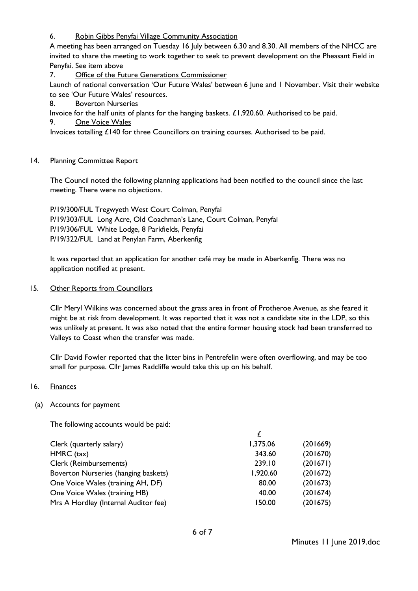6. Robin Gibbs Penyfai Village Community Association

A meeting has been arranged on Tuesday 16 July between 6.30 and 8.30. All members of the NHCC are invited to share the meeting to work together to seek to prevent development on the Pheasant Field in Penyfai. See item above

7. Office of the Future Generations Commissioner

Launch of national conversation 'Our Future Wales' between 6 June and 1 November. Visit their website to see 'Our Future Wales' resources.

8. Boverton Nurseries

Invoice for the half units of plants for the hanging baskets. £1,920.60. Authorised to be paid. 9. One Voice Wales

Invoices totalling £140 for three Councillors on training courses. Authorised to be paid.

# 14. Planning Committee Report

The Council noted the following planning applications had been notified to the council since the last meeting. There were no objections.

P/19/300/FUL Tregwyeth West Court Colman, Penyfai P/19/303/FUL Long Acre, Old Coachman's Lane, Court Colman, Penyfai P/19/306/FUL White Lodge, 8 Parkfields, Penyfai P/19/322/FUL Land at Penylan Farm, Aberkenfig

It was reported that an application for another café may be made in Aberkenfig. There was no application notified at present.

# 15. Other Reports from Councillors

Cllr Meryl Wilkins was concerned about the grass area in front of Protheroe Avenue, as she feared it might be at risk from development. It was reported that it was not a candidate site in the LDP, so this was unlikely at present. It was also noted that the entire former housing stock had been transferred to Valleys to Coast when the transfer was made.

Cllr David Fowler reported that the litter bins in Pentrefelin were often overflowing, and may be too small for purpose. Cllr James Radcliffe would take this up on his behalf.

# 16. Finances

# (a) Accounts for payment

The following accounts would be paid:

| Clerk (quarterly salary)             | 1,375.06 | (201669) |
|--------------------------------------|----------|----------|
| HMRC (tax)                           | 343.60   | (201670) |
| Clerk (Reimbursements)               | 239.10   | (201671) |
| Boverton Nurseries (hanging baskets) | 1,920.60 | (201672) |
| One Voice Wales (training AH, DF)    | 80.00    | (201673) |
| One Voice Wales (training HB)        | 40.00    | (201674) |
| Mrs A Hordley (Internal Auditor fee) | 150.00   | (201675) |